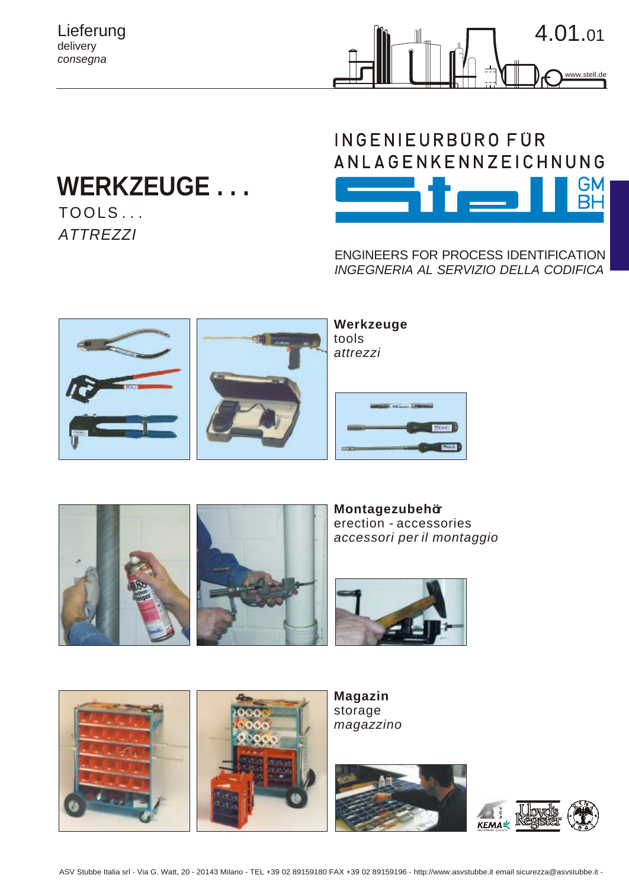Lieferung delivery *consegna*



## **WERKZEUGE . . .**  $TOOLS$ ...

*ATTREZZI*



ENGINEERS FOR PROCESS IDENTIFICATION *INGEGNERIA AL SERVIZIO DELLA CODIFICA*





**Montagezubehör** erection - accessories *accessori per il montaggio*





**Magazin** storage *magazzino*